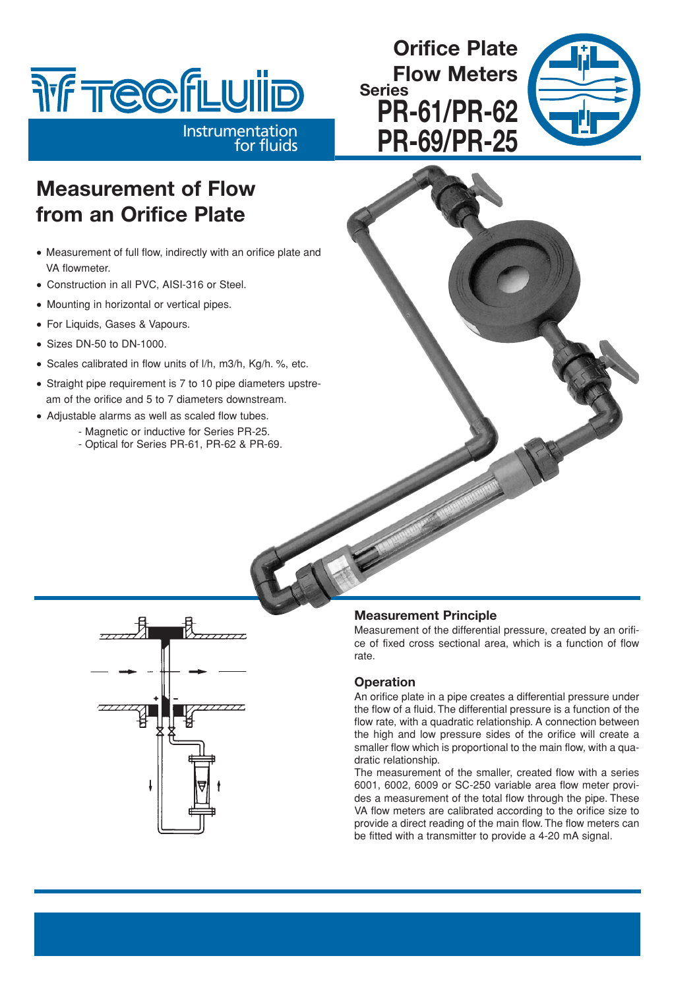# **THE TECFLUILD**

Instrumentation

for fluids

## **Orifice Plate Flow Meters Series PR-61/PR-62 PR-69/PR-25**



# **Measurement of Flow from an Orifice Plate**

- Measurement of full flow, indirectly with an orifice plate and VA flowmeter.
- Construction in all PVC, AISI-316 or Steel.
- Mounting in horizontal or vertical pipes.
- For Liquids, Gases & Vapours.
- Sizes DN-50 to DN-1000.
- Scales calibrated in flow units of l/h, m3/h, Kg/h. %, etc.
- Straight pipe requirement is 7 to 10 pipe diameters upstream of the orifice and 5 to 7 diameters downstream.
- Adjustable alarms as well as scaled flow tubes.
	- Magnetic or inductive for Series PR-25.
		- Optical for Series PR-61, PR-62 & PR-69.



## **Measurement Principle**

Measurement of the differential pressure, created by an orifice of fixed cross sectional area, which is a function of flow rate.

## **Operation**

An orifice plate in a pipe creates a differential pressure under the flow of a fluid. The differential pressure is a function of the flow rate, with a quadratic relationship. A connection between the high and low pressure sides of the orifice will create a smaller flow which is proportional to the main flow, with a quadratic relationship.

The measurement of the smaller, created flow with a series 6001, 6002, 6009 or SC-250 variable area flow meter provides a measurement of the total flow through the pipe. These VA flow meters are calibrated according to the orifice size to provide a direct reading of the main flow. The flow meters can be fitted with a transmitter to provide a 4-20 mA signal.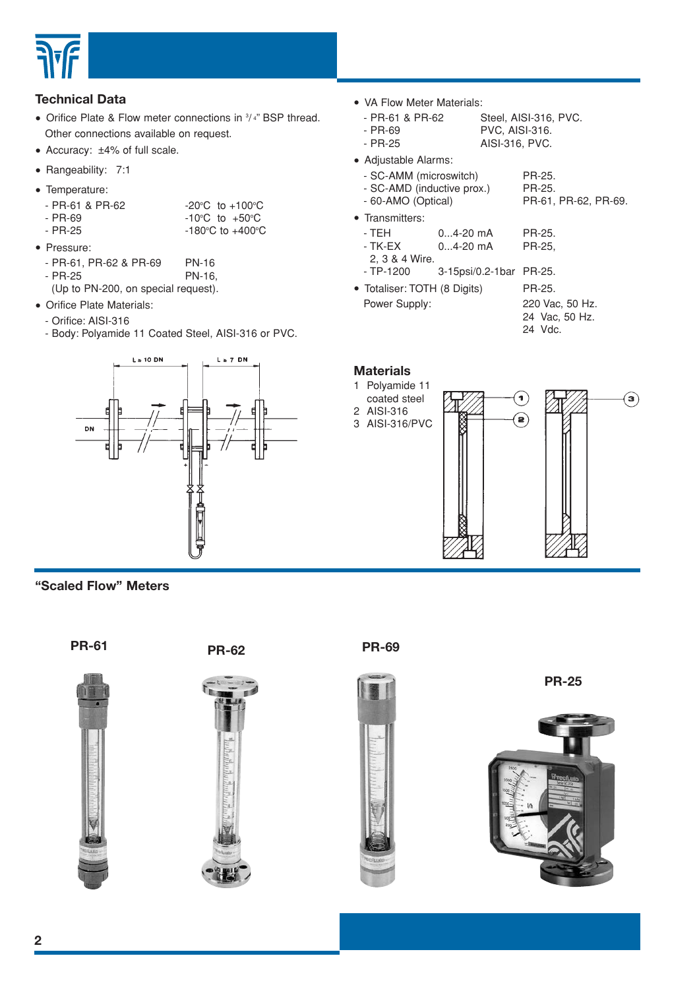

## **Technical Data**

• Orifice Plate & Flow meter connections in  $3/4$ " BSP thread. Other connections available on request.

C to  $+400^{\circ}$ C

- Accuracy: ±4% of full scale.
- Rangeability: 7:1
- Temperature:
	- $-$  PR-61 & PR-62 C to  $+100^{\circ}$ C C to  $+50^{\circ}$ C
- $-$  PR-69  $-$  PR-25
- Pressure:
	-
- PR-61, PR-62 & PR-69 PN-16<br>- PR-25 PN-16.  $-$  PR-25

(Up to PN-200, on special request).

- Orifice Plate Materials:
- Orifice: AISI-316
- Body: Polyamide 11 Coated Steel, AISI-316 or PVC.



**"Scaled Flow" Meters**



• VA Flow Meter Materials:<br>4 PR-61 & PR-62

- Steel, AISI-316, PVC.
- 
- PR-69 PVC, AISI-316.<br>- PR-25 AISI-316, PVC. AISI-316, PVC.
	-
- Adjustable Alarms: - SC-AMM (microswitch) PR-25.<br>- SC-AMD (inductive prox.) PR-25. - SC-AMD (inductive prox.) - 60-AMO (Optical) PR-61, PR-62, PR-69. • Transmitters:<br>- TEH - TEH 0...4-20 mA PR-25. 0...4-20 mA PR-25, 2, 3 & 4 Wire. - TP-1200 3-15psi/0.2-1bar PR-25.
- Totaliser: TOTH (8 Digits) PR-25.<br>Power Supply: 220 Va 220 Vac, 50 Hz. 24 Vac, 50 Hz.
	- 24 Vdc.

#### **Materials**





**PR-25**

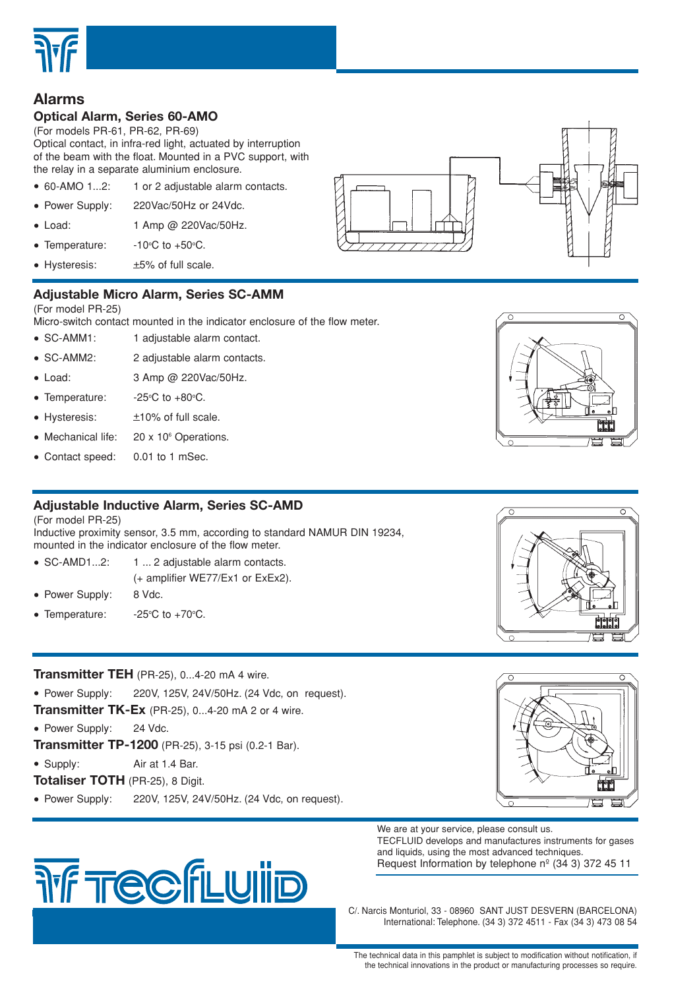

## **Alarms**

## **Optical Alarm, Series 60-AMO**

(For models PR-61, PR-62, PR-69) Optical contact, in infra-red light, actuated by interruption of the beam with the float. Mounted in a PVC support, with the relay in a separate aluminium enclosure.

- 60-AMO 1...2: 1 or 2 adjustable alarm contacts.
- Power Supply: 220Vac/50Hz or 24Vdc.
- Load: 1 Amp @ 220Vac/50Hz.
- Temperature: C to  $+50^{\circ}$ C.
- Hysteresis:  $±5%$  of full scale.

## **Adjustable Micro Alarm, Series SC-AMM**

#### (For model PR-25)

Micro-switch contact mounted in the indicator enclosure of the flow meter.

- SC-AMM1: 1 adjustable alarm contact.
- SC-AMM2: 2 adjustable alarm contacts.
- Load: 3 Amp @ 220Vac/50Hz.
- Temperature: C to  $+80^{\circ}$ C.
- $\bullet$  Hysteresis:  $\pm 10\%$  of full scale.
- Mechanical life: 20 x 10<sup>6</sup> Operations.
- Contact speed: 0.01 to 1 mSec.

## **Adjustable Inductive Alarm, Series SC-AMD**

(For model PR-25)

Inductive proximity sensor, 3.5 mm, according to standard NAMUR DIN 19234, mounted in the indicator enclosure of the flow meter.

- SC-AMD1...2: 1 ... 2 adjustable alarm contacts. (+ amplifier WE77/Ex1 or ExEx2).
- Power Supply: 8 Vdc.
- Temperature: C to  $+70^{\circ}$ C.

## **Transmitter TEH** (PR-25), 0...4-20 mA 4 wire.

• Power Supply: 220V, 125V, 24V/50Hz. (24 Vdc, on request). **Transmitter TK-Ex** (PR-25), 0...4-20 mA 2 or 4 wire.

• Power Supply: 24 Vdc.

**Transmitter TP-1200** (PR-25), 3-15 psi (0.2-1 Bar).

• Supply: Air at 1.4 Bar.

- **Totaliser TOTH** (PR-25), 8 Digit.
- Power Supply: 220V, 125V, 24V/50Hz. (24 Vdc, on request).











We are at your service, please consult us. TECFLUID develops and manufactures instruments for gases and liquids, using the most advanced techniques. Request Information by telephone  $n^{\circ}$  (34 3) 372 45 11

C/. Narcis Monturiol, 33 - 08960 SANT JUST DESVERN (BARCELONA) International: Telephone. (34 3) 372 4511 - Fax (34 3) 473 08 54

The technical data in this pamphlet is subject to modification without notification, if the technical innovations in the product or manufacturing processes so require.